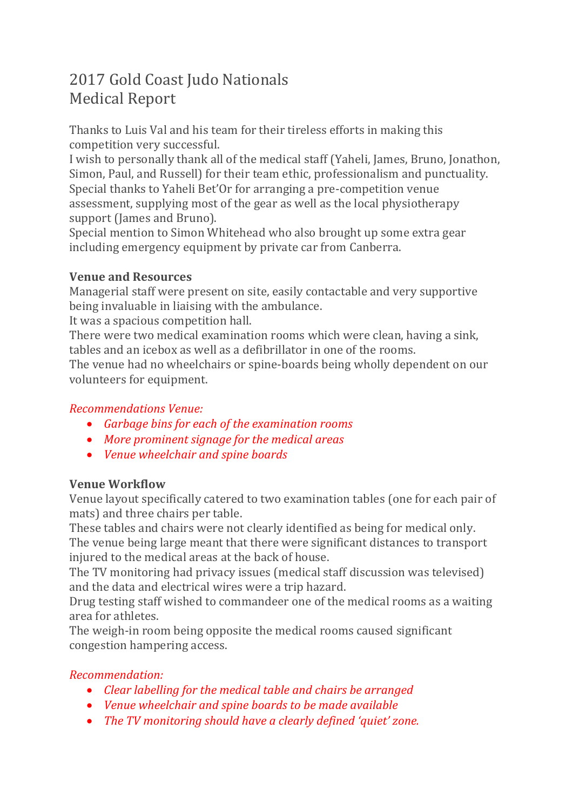# 2017 Gold Coast Judo Nationals Medical Report

Thanks to Luis Val and his team for their tireless efforts in making this competition very successful.

I wish to personally thank all of the medical staff (Yaheli, James, Bruno, Jonathon, Simon, Paul, and Russell) for their team ethic, professionalism and punctuality. Special thanks to Yaheli Bet'Or for arranging a pre-competition venue assessment, supplying most of the gear as well as the local physiotherapy support (James and Bruno).

Special mention to Simon Whitehead who also brought up some extra gear including emergency equipment by private car from Canberra.

### **Venue and Resources**

Managerial staff were present on site, easily contactable and very supportive being invaluable in liaising with the ambulance.

It was a spacious competition hall.

There were two medical examination rooms which were clean, having a sink, tables and an icebox as well as a defibrillator in one of the rooms.

The venue had no wheelchairs or spine-boards being wholly dependent on our volunteers for equipment.

## *Recommendations Venue:*

- *Garbage bins for each of the examination rooms*
- *More prominent signage for the medical areas*
- *Venue wheelchair and spine boards*

# **Venue Workflow**

Venue layout specifically catered to two examination tables (one for each pair of mats) and three chairs per table.

These tables and chairs were not clearly identified as being for medical only. The venue being large meant that there were significant distances to transport injured to the medical areas at the back of house.

The TV monitoring had privacy issues (medical staff discussion was televised) and the data and electrical wires were a trip hazard.

Drug testing staff wished to commandeer one of the medical rooms as a waiting area for athletes.

The weigh-in room being opposite the medical rooms caused significant congestion hampering access.

# *Recommendation:*

- *Clear labelling for the medical table and chairs be arranged*
- *Venue wheelchair and spine boards to be made available*
- *The TV monitoring should have a clearly defined 'quiet' zone.*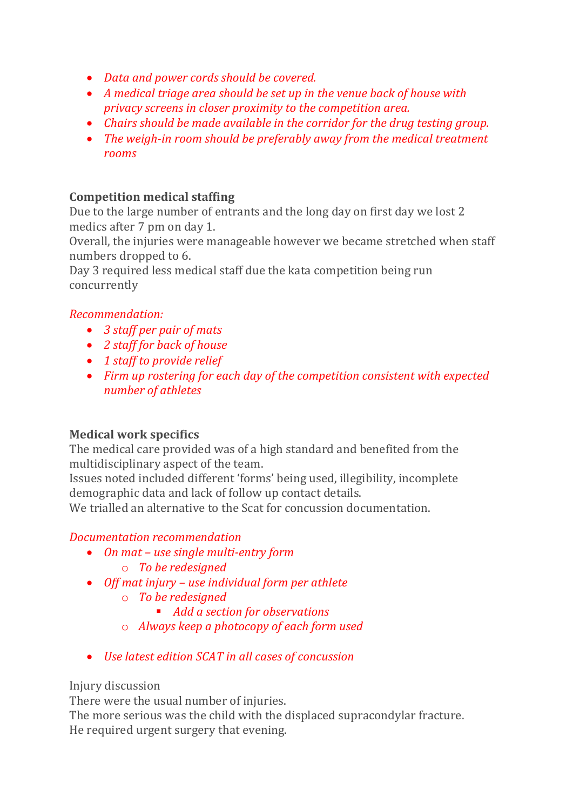- *Data and power cords should be covered.*
- *A medical triage area should be set up in the venue back of house with privacy screens in closer proximity to the competition area.*
- *Chairs should be made available in the corridor for the drug testing group.*
- *The weigh-in room should be preferably away from the medical treatment rooms*

#### **Competition medical staffing**

Due to the large number of entrants and the long day on first day we lost 2 medics after 7 pm on day 1.

Overall, the injuries were manageable however we became stretched when staff numbers dropped to 6.

Day 3 required less medical staff due the kata competition being run concurrently

### *Recommendation:*

- *3 staff per pair of mats*
- *2 staff for back of house*
- *1 staff to provide relief*
- *Firm up rostering for each day of the competition consistent with expected number of athletes*

# **Medical work specifics**

The medical care provided was of a high standard and benefited from the multidisciplinary aspect of the team.

Issues noted included different 'forms' being used, illegibility, incomplete demographic data and lack of follow up contact details.

We trialled an alternative to the Scat for concussion documentation.

#### *Documentation recommendation*

- *On mat – use single multi-entry form*
	- o *To be redesigned*
- *Off mat injury – use individual form per athlete*
	- o *To be redesigned*
		- *Add a section for observations*
	- o *Always keep a photocopy of each form used*
- *Use latest edition SCAT in all cases of concussion*

Injury discussion

There were the usual number of injuries.

The more serious was the child with the displaced supracondylar fracture. He required urgent surgery that evening.